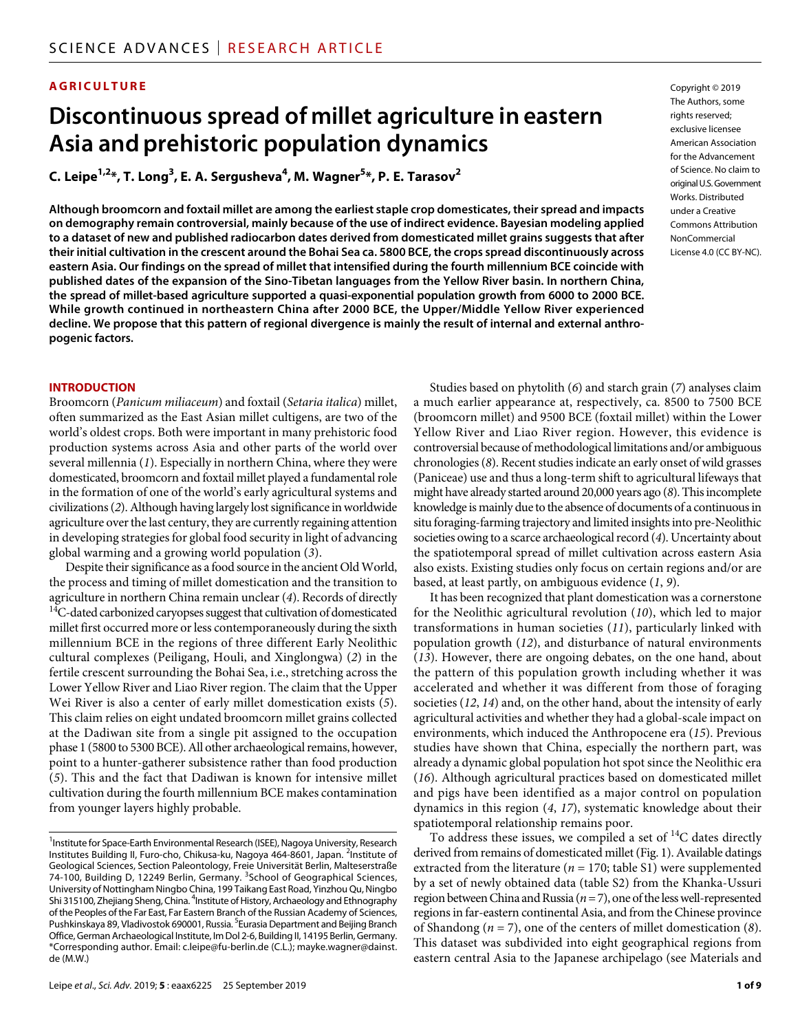# **AGRICULTURE**

# **Discontinuous spread of millet agriculture in eastern Asia and prehistoric population dynamics**

**C. Leipe1,2 \*, T. Long3 , E. A. Sergusheva4 , M. Wagner5 \*, P. E. Tarasov2**

**Although broomcorn and foxtail millet are among the earliest staple crop domesticates, their spread and impacts on demography remain controversial, mainly because of the use of indirect evidence. Bayesian modeling applied to a dataset of new and published radiocarbon dates derived from domesticated millet grains suggests that after their initial cultivation in the crescent around the Bohai Sea ca. 5800 BCE, the crops spread discontinuously across eastern Asia. Our findings on the spread of millet that intensified during the fourth millennium BCE coincide with published dates of the expansion of the Sino-Tibetan languages from the Yellow River basin. In northern China, the spread of millet-based agriculture supported a quasi-exponential population growth from 6000 to 2000 BCE. While growth continued in northeastern China after 2000 BCE, the Upper/Middle Yellow River experienced decline. We propose that this pattern of regional divergence is mainly the result of internal and external anthropogenic factors.**

#### **INTRODUCTION**

Broomcorn (*Panicum miliaceum*) and foxtail (*Setaria italica*) millet, often summarized as the East Asian millet cultigens, are two of the world's oldest crops. Both were important in many prehistoric food production systems across Asia and other parts of the world over several millennia (*1*). Especially in northern China, where they were domesticated, broomcorn and foxtail millet played a fundamental role in the formation of one of the world's early agricultural systems and civilizations (*2*). Although having largely lost significance in worldwide agriculture over the last century, they are currently regaining attention in developing strategies for global food security in light of advancing global warming and a growing world population (*3*).

Despite their significance as a food source in the ancient Old World, the process and timing of millet domestication and the transition to agriculture in northern China remain unclear (*4*). Records of directly 14C-dated carbonized caryopses suggest that cultivation of domesticated millet first occurred more or less contemporaneously during the sixth millennium BCE in the regions of three different Early Neolithic cultural complexes (Peiligang, Houli, and Xinglongwa) (*2*) in the fertile crescent surrounding the Bohai Sea, i.e., stretching across the Lower Yellow River and Liao River region. The claim that the Upper Wei River is also a center of early millet domestication exists (*5*). This claim relies on eight undated broomcorn millet grains collected at the Dadiwan site from a single pit assigned to the occupation phase 1 (5800 to 5300 BCE). All other archaeological remains, however, point to a hunter-gatherer subsistence rather than food production (*5*). This and the fact that Dadiwan is known for intensive millet cultivation during the fourth millennium BCE makes contamination from younger layers highly probable.

Copyright © 2019 The Authors, some rights reserved: exclusive licensee American Association for the Advancement of Science. No claim to original U.S.Government Works. Distributed under a Creative Commons Attribution **NonCommercial** License 4.0 (CC BY-NC).

Studies based on phytolith (*6*) and starch grain (*7*) analyses claim a much earlier appearance at, respectively, ca. 8500 to 7500 BCE (broomcorn millet) and 9500 BCE (foxtail millet) within the Lower Yellow River and Liao River region. However, this evidence is controversial because of methodological limitations and/or ambiguous chronologies (*8*). Recent studies indicate an early onset of wild grasses (Paniceae) use and thus a long-term shift to agricultural lifeways that might have already started around 20,000 years ago (*8*). This incomplete knowledge is mainly due to the absence of documents of a continuous in situ foraging-farming trajectory and limited insights into pre-Neolithic societies owing to a scarce archaeological record (*4*). Uncertainty about the spatiotemporal spread of millet cultivation across eastern Asia also exists. Existing studies only focus on certain regions and/or are based, at least partly, on ambiguous evidence (*1*, *9*).

It has been recognized that plant domestication was a cornerstone for the Neolithic agricultural revolution (*10*), which led to major transformations in human societies (*11*), particularly linked with population growth (*12*), and disturbance of natural environments (*13*). However, there are ongoing debates, on the one hand, about the pattern of this population growth including whether it was accelerated and whether it was different from those of foraging societies (*12*, *14*) and, on the other hand, about the intensity of early agricultural activities and whether they had a global-scale impact on environments, which induced the Anthropocene era (*15*). Previous studies have shown that China, especially the northern part, was already a dynamic global population hot spot since the Neolithic era (*16*). Although agricultural practices based on domesticated millet and pigs have been identified as a major control on population dynamics in this region (*4*, *17*), systematic knowledge about their spatiotemporal relationship remains poor.

To address these issues, we compiled a set of  $^{14}$ C dates directly derived from remains of domesticated millet (Fig. 1). Available datings extracted from the literature ( $n = 170$ ; table S1) were supplemented by a set of newly obtained data (table S2) from the Khanka-Ussuri region between China and Russia (*n* = 7), one of the less well-represented regions in far-eastern continental Asia, and from the Chinese province of Shandong (*n* = 7), one of the centers of millet domestication (*8*). This dataset was subdivided into eight geographical regions from eastern central Asia to the Japanese archipelago (see Materials and

<sup>&</sup>lt;sup>1</sup> Institute for Space-Earth Environmental Research (ISEE), Nagoya University, Research Institutes Building II, Furo-cho, Chikusa-ku, Nagoya 464-8601, Japan. <sup>2</sup>Institute of Geological Sciences, Section Paleontology, Freie Universität Berlin, Malteserstraße 74-100, Building D, 12249 Berlin, Germany. <sup>3</sup>School of Geographical Sciences, University of Nottingham Ningbo China, 199 Taikang East Road, Yinzhou Qu, Ningbo Shi 315100, Zhejiang Sheng, China. <sup>4</sup>Institute of History, Archaeology and Ethnography of the Peoples of the Far East, Far Eastern Branch of the Russian Academy of Sciences, Pushkinskaya 89, Vladivostok 690001, Russia. <sup>5</sup>Eurasia Department and Beijing Branch Office, German Archaeological Institute, Im Dol 2-6, Building II, 14195 Berlin, Germany. \*Corresponding author. Email: c.leipe@fu-berlin.de (C.L.); mayke.wagner@dainst. de (M.W.)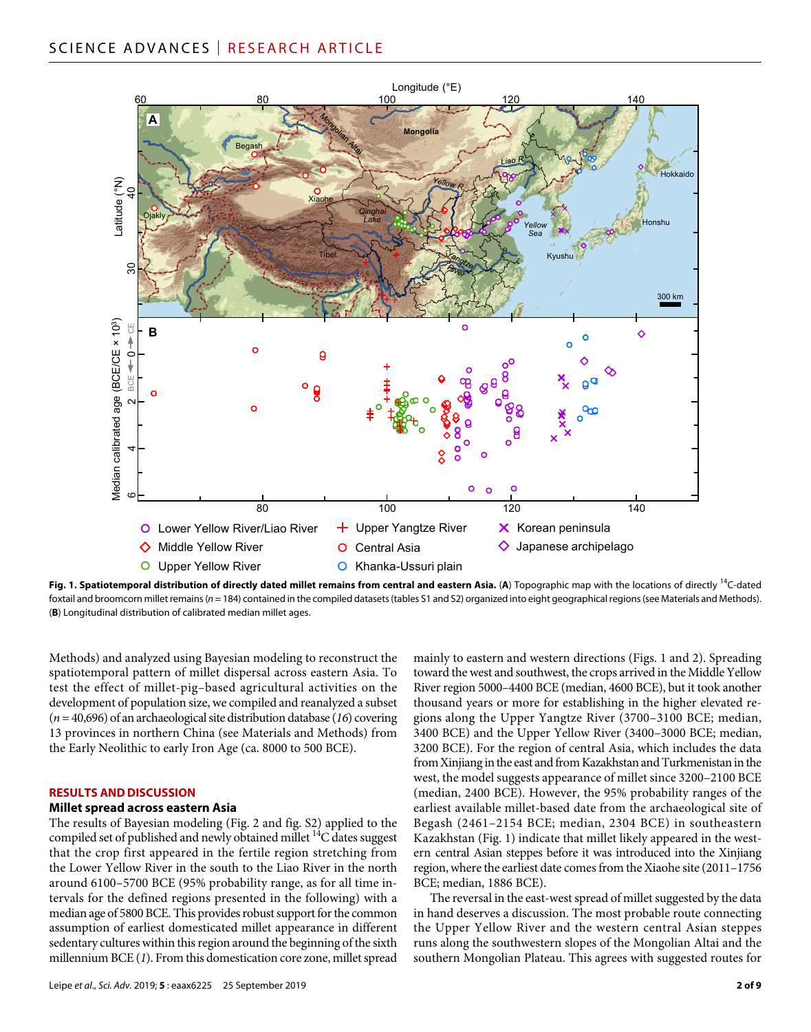

**Fig. 1. Spatiotemporal distribution of directly dated millet remains from central and eastern Asia.** (**A**) Topographic map with the locations of directly 14C-dated foxtail and broomcorn millet remains ( $n = 184$ ) contained in the compiled datasets (tables S1 and S2) organized into eight geographical regions (see Materials and Methods). (**B**) Longitudinal distribution of calibrated median millet ages.

Methods) and analyzed using Bayesian modeling to reconstruct the spatiotemporal pattern of millet dispersal across eastern Asia. To test the effect of millet-pig–based agricultural activities on the development of population size, we compiled and reanalyzed a subset (*n* = 40,696) of an archaeological site distribution database (*16*) covering 13 provinces in northern China (see Materials and Methods) from the Early Neolithic to early Iron Age (ca. 8000 to 500 BCE).

#### **RESULTS AND DISCUSSION**

#### **Millet spread across eastern Asia**

The results of Bayesian modeling (Fig. 2 and fig. S2) applied to the compiled set of published and newly obtained millet  ${}^{14}C$  dates suggest that the crop first appeared in the fertile region stretching from the Lower Yellow River in the south to the Liao River in the north around 6100–5700 BCE (95% probability range, as for all time intervals for the defined regions presented in the following) with a median age of 5800 BCE. This provides robust support for the common assumption of earliest domesticated millet appearance in different sedentary cultures within this region around the beginning of the sixth millennium BCE (*1*). From this domestication core zone, millet spread

Leipe *et al*., *Sci. Adv.* 2019; **5** : eaax6225 25 September 2019

mainly to eastern and western directions (Figs. 1 and 2). Spreading toward the west and southwest, the crops arrived in the Middle Yellow River region 5000–4400 BCE (median, 4600 BCE), but it took another thousand years or more for establishing in the higher elevated regions along the Upper Yangtze River (3700–3100 BCE; median, 3400 BCE) and the Upper Yellow River (3400–3000 BCE; median, 3200 BCE). For the region of central Asia, which includes the data from Xinjiang in the east and from Kazakhstan and Turkmenistan in the west, the model suggests appearance of millet since 3200–2100 BCE (median, 2400 BCE). However, the 95% probability ranges of the earliest available millet-based date from the archaeological site of Begash (2461–2154 BCE; median, 2304 BCE) in southeastern Kazakhstan (Fig. 1) indicate that millet likely appeared in the western central Asian steppes before it was introduced into the Xinjiang region, where the earliest date comes from the Xiaohe site (2011–1756 BCE; median, 1886 BCE).

The reversal in the east-west spread of millet suggested by the data in hand deserves a discussion. The most probable route connecting the Upper Yellow River and the western central Asian steppes runs along the southwestern slopes of the Mongolian Altai and the southern Mongolian Plateau. This agrees with suggested routes for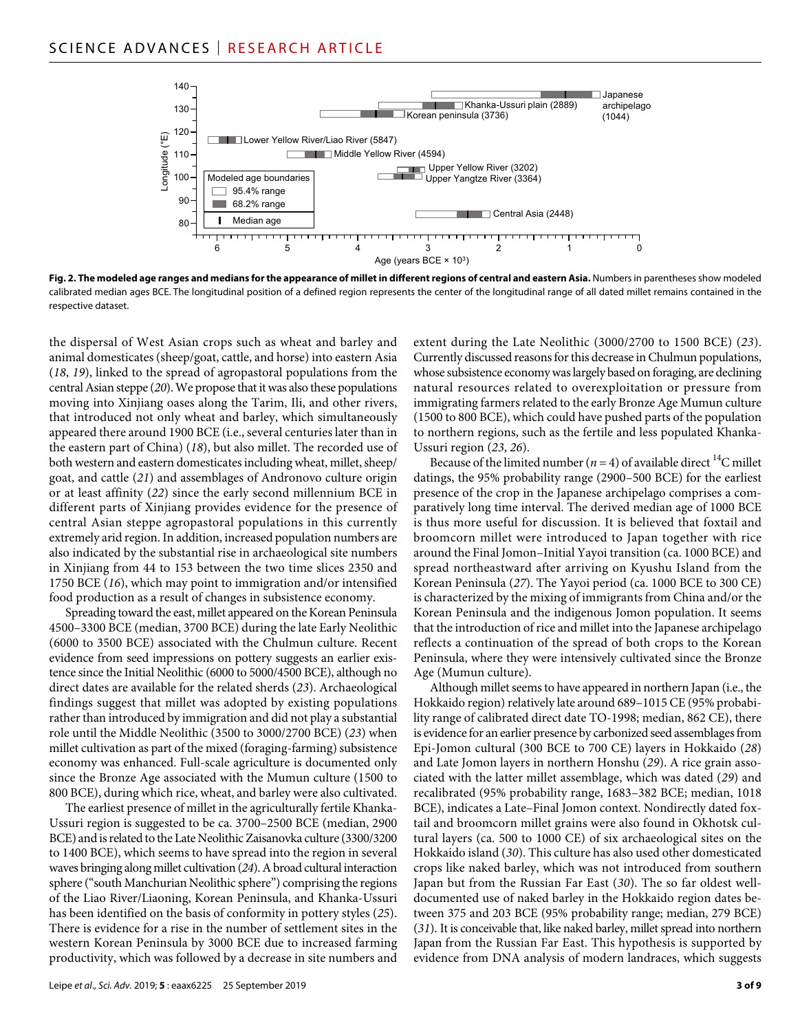

**Fig. 2. The modeled age ranges and medians for the appearance of millet in different regions of central and eastern Asia.** Numbers in parentheses show modeled calibrated median ages BCE. The longitudinal position of a defined region represents the center of the longitudinal range of all dated millet remains contained in the respective dataset.

the dispersal of West Asian crops such as wheat and barley and animal domesticates (sheep/goat, cattle, and horse) into eastern Asia (*18*, *19*), linked to the spread of agropastoral populations from the central Asian steppe (*20*). We propose that it was also these populations moving into Xinjiang oases along the Tarim, Ili, and other rivers, that introduced not only wheat and barley, which simultaneously appeared there around 1900 BCE (i.e., several centuries later than in the eastern part of China) (*18*), but also millet. The recorded use of both western and eastern domesticates including wheat, millet, sheep/ goat, and cattle (*21*) and assemblages of Andronovo culture origin or at least affinity (*22*) since the early second millennium BCE in different parts of Xinjiang provides evidence for the presence of central Asian steppe agropastoral populations in this currently extremely arid region. In addition, increased population numbers are also indicated by the substantial rise in archaeological site numbers in Xinjiang from 44 to 153 between the two time slices 2350 and 1750 BCE (*16*), which may point to immigration and/or intensified food production as a result of changes in subsistence economy.

Spreading toward the east, millet appeared on the Korean Peninsula 4500–3300 BCE (median, 3700 BCE) during the late Early Neolithic (6000 to 3500 BCE) associated with the Chulmun culture. Recent evidence from seed impressions on pottery suggests an earlier existence since the Initial Neolithic (6000 to 5000/4500 BCE), although no direct dates are available for the related sherds (*23*). Archaeological findings suggest that millet was adopted by existing populations rather than introduced by immigration and did not play a substantial role until the Middle Neolithic (3500 to 3000/2700 BCE) (*23*) when millet cultivation as part of the mixed (foraging-farming) subsistence economy was enhanced. Full-scale agriculture is documented only since the Bronze Age associated with the Mumun culture (1500 to 800 BCE), during which rice, wheat, and barley were also cultivated.

The earliest presence of millet in the agriculturally fertile Khanka-Ussuri region is suggested to be ca. 3700–2500 BCE (median, 2900 BCE) and is related to the Late Neolithic Zaisanovka culture (3300/3200 to 1400 BCE), which seems to have spread into the region in several waves bringing along millet cultivation (*24*). A broad cultural interaction sphere ("south Manchurian Neolithic sphere") comprising the regions of the Liao River/Liaoning, Korean Peninsula, and Khanka-Ussuri has been identified on the basis of conformity in pottery styles (*25*). There is evidence for a rise in the number of settlement sites in the western Korean Peninsula by 3000 BCE due to increased farming productivity, which was followed by a decrease in site numbers and

Leipe *et al*., *Sci. Adv.* 2019; **5** : eaax6225 25 September 2019

extent during the Late Neolithic (3000/2700 to 1500 BCE) (*23*). Currently discussed reasons for this decrease in Chulmun populations, whose subsistence economy was largely based on foraging, are declining natural resources related to overexploitation or pressure from immigrating farmers related to the early Bronze Age Mumun culture (1500 to 800 BCE), which could have pushed parts of the population to northern regions, such as the fertile and less populated Khanka-Ussuri region (*23*, *26*).

Because of the limited number ( $n = 4$ ) of available direct <sup>14</sup>C millet datings, the 95% probability range (2900–500 BCE) for the earliest presence of the crop in the Japanese archipelago comprises a comparatively long time interval. The derived median age of 1000 BCE is thus more useful for discussion. It is believed that foxtail and broomcorn millet were introduced to Japan together with rice around the Final Jomon–Initial Yayoi transition (ca. 1000 BCE) and spread northeastward after arriving on Kyushu Island from the Korean Peninsula (*27*). The Yayoi period (ca. 1000 BCE to 300 CE) is characterized by the mixing of immigrants from China and/or the Korean Peninsula and the indigenous Jomon population. It seems that the introduction of rice and millet into the Japanese archipelago reflects a continuation of the spread of both crops to the Korean Peninsula, where they were intensively cultivated since the Bronze Age (Mumun culture).

Although millet seems to have appeared in northern Japan (i.e., the Hokkaido region) relatively late around 689–1015 CE (95% probability range of calibrated direct date TO-1998; median, 862 CE), there is evidence for an earlier presence by carbonized seed assemblages from Epi-Jomon cultural (300 BCE to 700 CE) layers in Hokkaido (*28*) and Late Jomon layers in northern Honshu (*29*). A rice grain associated with the latter millet assemblage, which was dated (*29*) and recalibrated (95% probability range, 1683–382 BCE; median, 1018 BCE), indicates a Late–Final Jomon context. Nondirectly dated foxtail and broomcorn millet grains were also found in Okhotsk cultural layers (ca. 500 to 1000 CE) of six archaeological sites on the Hokkaido island (*30*). This culture has also used other domesticated crops like naked barley, which was not introduced from southern Japan but from the Russian Far East (*30*). The so far oldest welldocumented use of naked barley in the Hokkaido region dates between 375 and 203 BCE (95% probability range; median, 279 BCE) (*31*). It is conceivable that, like naked barley, millet spread into northern Japan from the Russian Far East. This hypothesis is supported by evidence from DNA analysis of modern landraces, which suggests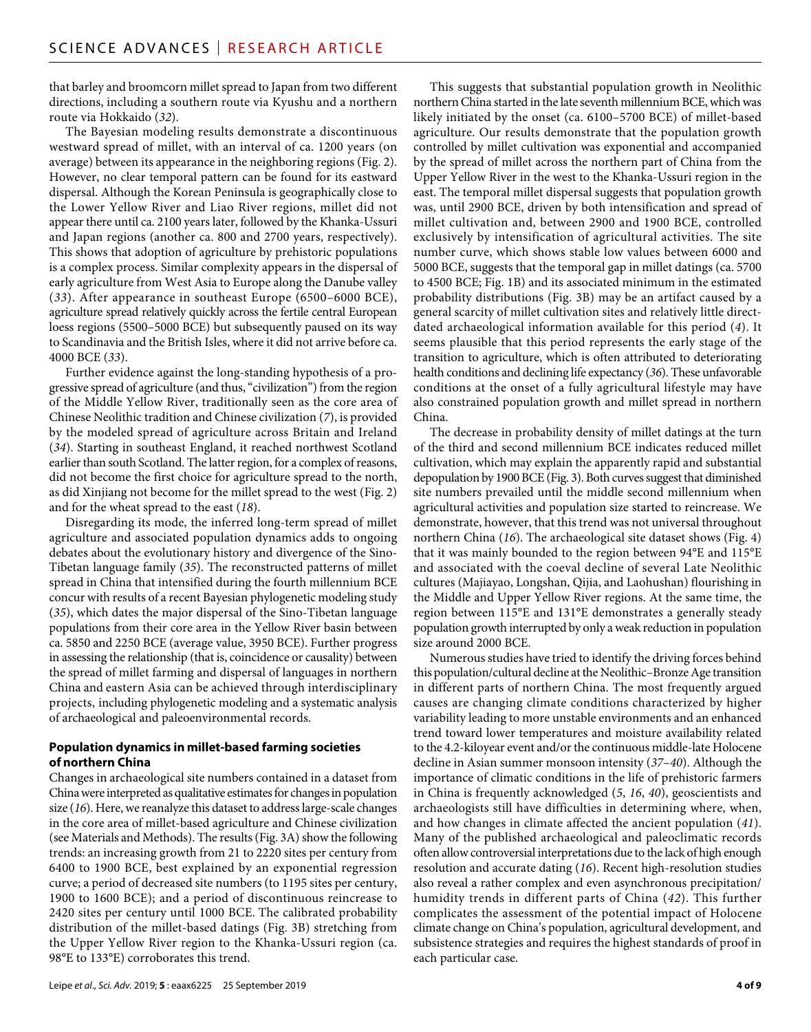that barley and broomcorn millet spread to Japan from two different directions, including a southern route via Kyushu and a northern route via Hokkaido (*32*).

The Bayesian modeling results demonstrate a discontinuous westward spread of millet, with an interval of ca. 1200 years (on average) between its appearance in the neighboring regions (Fig. 2). However, no clear temporal pattern can be found for its eastward dispersal. Although the Korean Peninsula is geographically close to the Lower Yellow River and Liao River regions, millet did not appear there until ca. 2100 years later, followed by the Khanka-Ussuri and Japan regions (another ca. 800 and 2700 years, respectively). This shows that adoption of agriculture by prehistoric populations is a complex process. Similar complexity appears in the dispersal of early agriculture from West Asia to Europe along the Danube valley (*33*). After appearance in southeast Europe (6500–6000 BCE), agriculture spread relatively quickly across the fertile central European loess regions (5500–5000 BCE) but subsequently paused on its way to Scandinavia and the British Isles, where it did not arrive before ca. 4000 BCE (*33*).

Further evidence against the long-standing hypothesis of a progressive spread of agriculture (and thus, "civilization") from the region of the Middle Yellow River, traditionally seen as the core area of Chinese Neolithic tradition and Chinese civilization (*7*), is provided by the modeled spread of agriculture across Britain and Ireland (*34*). Starting in southeast England, it reached northwest Scotland earlier than south Scotland. The latter region, for a complex of reasons, did not become the first choice for agriculture spread to the north, as did Xinjiang not become for the millet spread to the west (Fig. 2) and for the wheat spread to the east (*18*).

Disregarding its mode, the inferred long-term spread of millet agriculture and associated population dynamics adds to ongoing debates about the evolutionary history and divergence of the Sino-Tibetan language family (*35*). The reconstructed patterns of millet spread in China that intensified during the fourth millennium BCE concur with results of a recent Bayesian phylogenetic modeling study (*35*), which dates the major dispersal of the Sino-Tibetan language populations from their core area in the Yellow River basin between ca. 5850 and 2250 BCE (average value, 3950 BCE). Further progress in assessing the relationship (that is, coincidence or causality) between the spread of millet farming and dispersal of languages in northern China and eastern Asia can be achieved through interdisciplinary projects, including phylogenetic modeling and a systematic analysis of archaeological and paleoenvironmental records.

# **Population dynamics in millet-based farming societies of northern China**

Changes in archaeological site numbers contained in a dataset from China were interpreted as qualitative estimates for changes in population size (*16*). Here, we reanalyze this dataset to address large-scale changes in the core area of millet-based agriculture and Chinese civilization (see Materials and Methods). The results (Fig. 3A) show the following trends: an increasing growth from 21 to 2220 sites per century from 6400 to 1900 BCE, best explained by an exponential regression curve; a period of decreased site numbers (to 1195 sites per century, 1900 to 1600 BCE); and a period of discontinuous reincrease to 2420 sites per century until 1000 BCE. The calibrated probability distribution of the millet-based datings (Fig. 3B) stretching from the Upper Yellow River region to the Khanka-Ussuri region (ca. 98°E to 133°E) corroborates this trend.

This suggests that substantial population growth in Neolithic northern China started in the late seventh millennium BCE, which was likely initiated by the onset (ca. 6100–5700 BCE) of millet-based agriculture. Our results demonstrate that the population growth controlled by millet cultivation was exponential and accompanied by the spread of millet across the northern part of China from the Upper Yellow River in the west to the Khanka-Ussuri region in the east. The temporal millet dispersal suggests that population growth was, until 2900 BCE, driven by both intensification and spread of millet cultivation and, between 2900 and 1900 BCE, controlled exclusively by intensification of agricultural activities. The site number curve, which shows stable low values between 6000 and 5000 BCE, suggests that the temporal gap in millet datings (ca. 5700 to 4500 BCE; Fig. 1B) and its associated minimum in the estimated probability distributions (Fig. 3B) may be an artifact caused by a general scarcity of millet cultivation sites and relatively little directdated archaeological information available for this period (*4*). It seems plausible that this period represents the early stage of the transition to agriculture, which is often attributed to deteriorating health conditions and declining life expectancy (*36*). These unfavorable conditions at the onset of a fully agricultural lifestyle may have also constrained population growth and millet spread in northern China.

The decrease in probability density of millet datings at the turn of the third and second millennium BCE indicates reduced millet cultivation, which may explain the apparently rapid and substantial depopulation by 1900 BCE (Fig. 3). Both curves suggest that diminished site numbers prevailed until the middle second millennium when agricultural activities and population size started to reincrease. We demonstrate, however, that this trend was not universal throughout northern China (*16*). The archaeological site dataset shows (Fig. 4) that it was mainly bounded to the region between 94°E and 115°E and associated with the coeval decline of several Late Neolithic cultures (Majiayao, Longshan, Qijia, and Laohushan) flourishing in the Middle and Upper Yellow River regions. At the same time, the region between 115°E and 131°E demonstrates a generally steady population growth interrupted by only a weak reduction in population size around 2000 BCE.

Numerous studies have tried to identify the driving forces behind this population/cultural decline at the Neolithic–Bronze Age transition in different parts of northern China. The most frequently argued causes are changing climate conditions characterized by higher variability leading to more unstable environments and an enhanced trend toward lower temperatures and moisture availability related to the 4.2-kiloyear event and/or the continuous middle-late Holocene decline in Asian summer monsoon intensity (*37*–*40*). Although the importance of climatic conditions in the life of prehistoric farmers in China is frequently acknowledged (*5*, *16*, *40*), geoscientists and archaeologists still have difficulties in determining where, when, and how changes in climate affected the ancient population (*41*). Many of the published archaeological and paleoclimatic records often allow controversial interpretations due to the lack of high enough resolution and accurate dating (*16*). Recent high-resolution studies also reveal a rather complex and even asynchronous precipitation/ humidity trends in different parts of China (*42*). This further complicates the assessment of the potential impact of Holocene climate change on China's population, agricultural development, and subsistence strategies and requires the highest standards of proof in each particular case.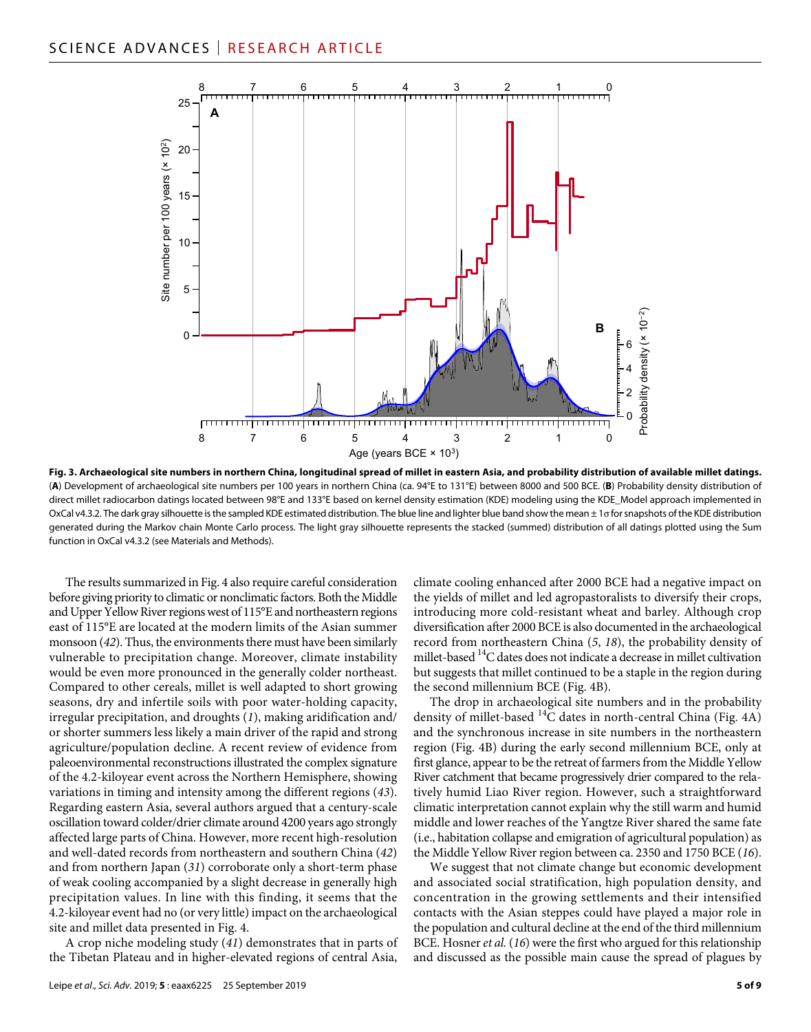

**Fig. 3. Archaeological site numbers in northern China, longitudinal spread of millet in eastern Asia, and probability distribution of available millet datings.** (**A**) Development of archaeological site numbers per 100 years in northern China (ca. 94°E to 131°E) between 8000 and 500 BCE. (**B**) Probability density distribution of direct millet radiocarbon datings located between 98°E and 133°E based on kernel density estimation (KDE) modeling using the KDE\_Model approach implemented in OxCal v4.3.2. The dark gray silhouette is the sampled KDE estimated distribution. The blue line and lighter blue band show the mean ± 1o for snapshots of the KDE distribution generated during the Markov chain Monte Carlo process. The light gray silhouette represents the stacked (summed) distribution of all datings plotted using the Sum function in OxCal v4.3.2 (see Materials and Methods).

The results summarized in Fig. 4 also require careful consideration before giving priority to climatic or nonclimatic factors. Both the Middle and Upper Yellow River regions west of 115°E and northeastern regions east of 115°E are located at the modern limits of the Asian summer monsoon (*42*). Thus, the environments there must have been similarly vulnerable to precipitation change. Moreover, climate instability would be even more pronounced in the generally colder northeast. Compared to other cereals, millet is well adapted to short growing seasons, dry and infertile soils with poor water-holding capacity, irregular precipitation, and droughts (*1*), making aridification and/ or shorter summers less likely a main driver of the rapid and strong agriculture/population decline. A recent review of evidence from paleoenvironmental reconstructions illustrated the complex signature of the 4.2-kiloyear event across the Northern Hemisphere, showing variations in timing and intensity among the different regions (*43*). Regarding eastern Asia, several authors argued that a century-scale oscillation toward colder/drier climate around 4200 years ago strongly affected large parts of China. However, more recent high-resolution and well-dated records from northeastern and southern China (*42*) and from northern Japan (*31*) corroborate only a short-term phase of weak cooling accompanied by a slight decrease in generally high precipitation values. In line with this finding, it seems that the 4.2-kiloyear event had no (or very little) impact on the archaeological site and millet data presented in Fig. 4.

A crop niche modeling study (*41*) demonstrates that in parts of the Tibetan Plateau and in higher-elevated regions of central Asia,

climate cooling enhanced after 2000 BCE had a negative impact on the yields of millet and led agropastoralists to diversify their crops, introducing more cold-resistant wheat and barley. Although crop diversification after 2000 BCE is also documented in the archaeological record from northeastern China (*5*, *18*), the probability density of millet-based <sup>14</sup>C dates does not indicate a decrease in millet cultivation but suggests that millet continued to be a staple in the region during the second millennium BCE (Fig. 4B).

The drop in archaeological site numbers and in the probability density of millet-based  ${}^{14}C$  dates in north-central China (Fig. 4A) and the synchronous increase in site numbers in the northeastern region (Fig. 4B) during the early second millennium BCE, only at first glance, appear to be the retreat of farmers from the Middle Yellow River catchment that became progressively drier compared to the relatively humid Liao River region. However, such a straightforward climatic interpretation cannot explain why the still warm and humid middle and lower reaches of the Yangtze River shared the same fate (i.e., habitation collapse and emigration of agricultural population) as the Middle Yellow River region between ca. 2350 and 1750 BCE (*16*).

We suggest that not climate change but economic development and associated social stratification, high population density, and concentration in the growing settlements and their intensified contacts with the Asian steppes could have played a major role in the population and cultural decline at the end of the third millennium BCE. Hosner *et al.* (*16*) were the first who argued for this relationship and discussed as the possible main cause the spread of plagues by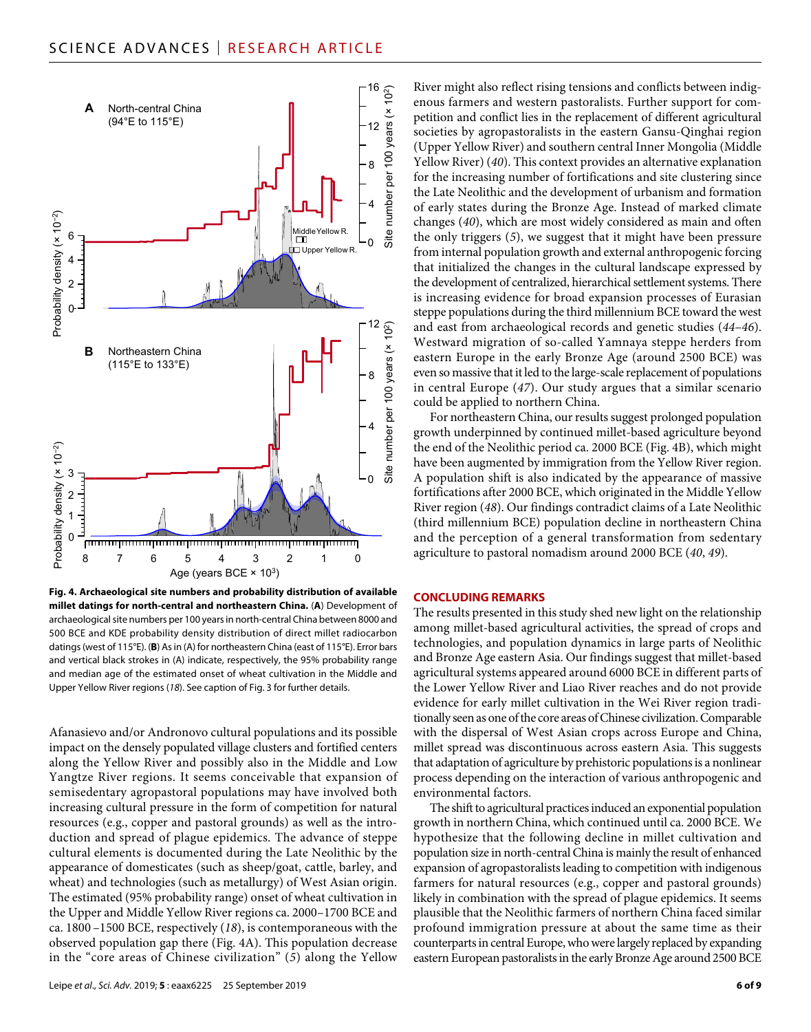

**Fig. 4. Archaeological site numbers and probability distribution of available millet datings for north-central and northeastern China.** (**A**) Development of archaeological site numbers per 100 years in north-central China between 8000 and 500 BCE and KDE probability density distribution of direct millet radiocarbon datings (west of 115°E). (**B**) As in (A) for northeastern China (east of 115°E). Error bars and vertical black strokes in (A) indicate, respectively, the 95% probability range and median age of the estimated onset of wheat cultivation in the Middle and Upper Yellow River regions (*18*). See caption of Fig. 3 for further details.

Afanasievo and/or Andronovo cultural populations and its possible impact on the densely populated village clusters and fortified centers along the Yellow River and possibly also in the Middle and Low Yangtze River regions. It seems conceivable that expansion of semisedentary agropastoral populations may have involved both increasing cultural pressure in the form of competition for natural resources (e.g., copper and pastoral grounds) as well as the introduction and spread of plague epidemics. The advance of steppe cultural elements is documented during the Late Neolithic by the appearance of domesticates (such as sheep/goat, cattle, barley, and wheat) and technologies (such as metallurgy) of West Asian origin. The estimated (95% probability range) onset of wheat cultivation in the Upper and Middle Yellow River regions ca. 2000–1700 BCE and ca. 1800 –1500 BCE, respectively (*18*), is contemporaneous with the observed population gap there (Fig. 4A). This population decrease in the "core areas of Chinese civilization" (*5*) along the Yellow

River might also reflect rising tensions and conflicts between indigenous farmers and western pastoralists. Further support for competition and conflict lies in the replacement of different agricultural societies by agropastoralists in the eastern Gansu-Qinghai region (Upper Yellow River) and southern central Inner Mongolia (Middle Yellow River) (*40*). This context provides an alternative explanation for the increasing number of fortifications and site clustering since the Late Neolithic and the development of urbanism and formation of early states during the Bronze Age. Instead of marked climate changes (*40*), which are most widely considered as main and often the only triggers (*5*), we suggest that it might have been pressure from internal population growth and external anthropogenic forcing that initialized the changes in the cultural landscape expressed by the development of centralized, hierarchical settlement systems. There is increasing evidence for broad expansion processes of Eurasian steppe populations during the third millennium BCE toward the west and east from archaeological records and genetic studies (*44*–*46*). Westward migration of so-called Yamnaya steppe herders from eastern Europe in the early Bronze Age (around 2500 BCE) was even so massive that it led to the large-scale replacement of populations in central Europe (*47*). Our study argues that a similar scenario could be applied to northern China.

For northeastern China, our results suggest prolonged population growth underpinned by continued millet-based agriculture beyond the end of the Neolithic period ca. 2000 BCE (Fig. 4B), which might have been augmented by immigration from the Yellow River region. A population shift is also indicated by the appearance of massive fortifications after 2000 BCE, which originated in the Middle Yellow River region (*48*). Our findings contradict claims of a Late Neolithic (third millennium BCE) population decline in northeastern China and the perception of a general transformation from sedentary agriculture to pastoral nomadism around 2000 BCE (*40*, *49*).

# **CONCLUDING REMARKS**

The results presented in this study shed new light on the relationship among millet-based agricultural activities, the spread of crops and technologies, and population dynamics in large parts of Neolithic and Bronze Age eastern Asia. Our findings suggest that millet-based agricultural systems appeared around 6000 BCE in different parts of the Lower Yellow River and Liao River reaches and do not provide evidence for early millet cultivation in the Wei River region traditionally seen as one of the core areas of Chinese civilization. Comparable with the dispersal of West Asian crops across Europe and China, millet spread was discontinuous across eastern Asia. This suggests that adaptation of agriculture by prehistoric populations is a nonlinear process depending on the interaction of various anthropogenic and environmental factors.

The shift to agricultural practices induced an exponential population growth in northern China, which continued until ca. 2000 BCE. We hypothesize that the following decline in millet cultivation and population size in north-central China is mainly the result of enhanced expansion of agropastoralists leading to competition with indigenous farmers for natural resources (e.g., copper and pastoral grounds) likely in combination with the spread of plague epidemics. It seems plausible that the Neolithic farmers of northern China faced similar profound immigration pressure at about the same time as their counterparts in central Europe, who were largely replaced by expanding eastern European pastoralists in the early Bronze Age around 2500 BCE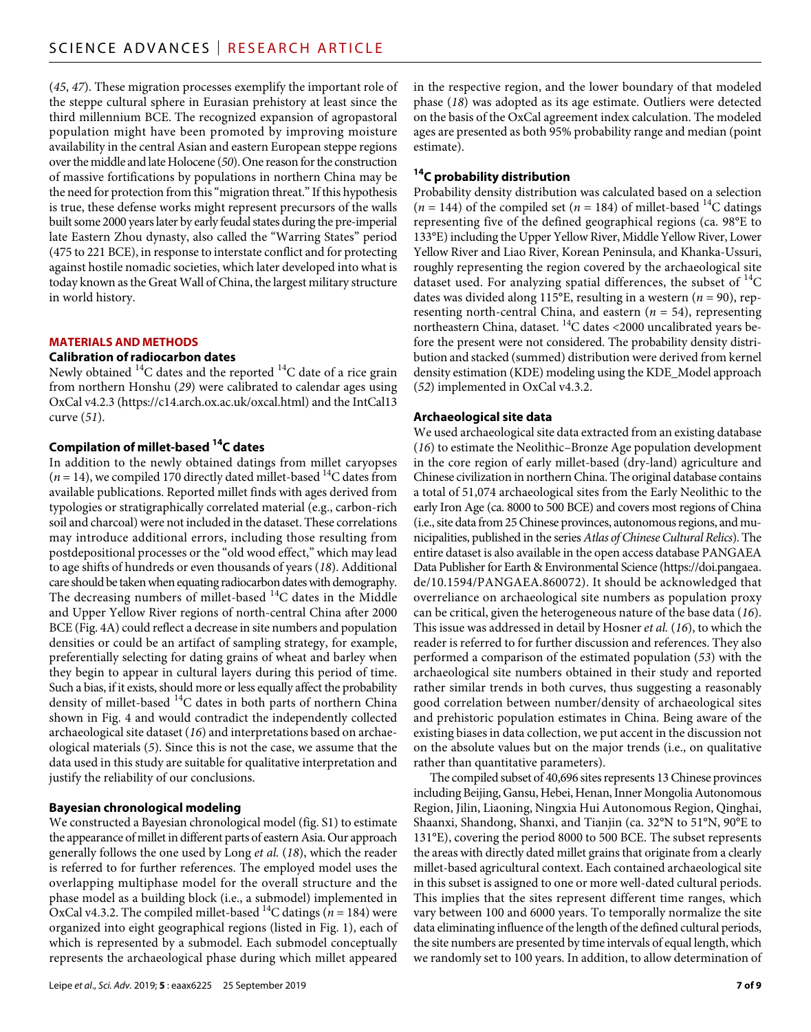(*45*, *47*). These migration processes exemplify the important role of the steppe cultural sphere in Eurasian prehistory at least since the third millennium BCE. The recognized expansion of agropastoral population might have been promoted by improving moisture availability in the central Asian and eastern European steppe regions over the middle and late Holocene (*50*). One reason for the construction of massive fortifications by populations in northern China may be the need for protection from this "migration threat." If this hypothesis is true, these defense works might represent precursors of the walls built some 2000 years later by early feudal states during the pre-imperial late Eastern Zhou dynasty, also called the "Warring States" period (475 to 221 BCE), in response to interstate conflict and for protecting against hostile nomadic societies, which later developed into what is today known as the Great Wall of China, the largest military structure in world history.

# **MATERIALS AND METHODS**

### **Calibration ofradiocarbon dates**

Newly obtained  ${}^{14}C$  dates and the reported  ${}^{14}C$  date of a rice grain from northern Honshu (*29*) were calibrated to calendar ages using OxCal v4.2.3 [\(https://c14.arch.ox.ac.uk/oxcal.html](https://c14.arch.ox.ac.uk/oxcal.html)) and the IntCal13 curve (*51*).

# **Compilation of millet-based 14C dates**

In addition to the newly obtained datings from millet caryopses  $(n=14)$ , we compiled 170 directly dated millet-based  $^{14}$ C dates from available publications. Reported millet finds with ages derived from typologies or stratigraphically correlated material (e.g., carbon-rich soil and charcoal) were not included in the dataset. These correlations may introduce additional errors, including those resulting from postdepositional processes or the "old wood effect," which may lead to age shifts of hundreds or even thousands of years (*18*). Additional care should be taken when equating radiocarbon dates with demography. The decreasing numbers of millet-based <sup>14</sup>C dates in the Middle and Upper Yellow River regions of north-central China after 2000 BCE (Fig. 4A) could reflect a decrease in site numbers and population densities or could be an artifact of sampling strategy, for example, preferentially selecting for dating grains of wheat and barley when they begin to appear in cultural layers during this period of time. Such a bias, if it exists, should more or less equally affect the probability density of millet-based  $^{14}$ C dates in both parts of northern China shown in Fig. 4 and would contradict the independently collected archaeological site dataset (*16*) and interpretations based on archaeological materials (*5*). Since this is not the case, we assume that the data used in this study are suitable for qualitative interpretation and justify the reliability of our conclusions.

# **Bayesian chronological modeling**

We constructed a Bayesian chronological model (fig. S1) to estimate the appearance of millet in different parts of eastern Asia. Our approach generally follows the one used by Long *et al.* (*18*), which the reader is referred to for further references. The employed model uses the overlapping multiphase model for the overall structure and the phase model as a building block (i.e., a submodel) implemented in OxCal v4.3.2. The compiled millet-based  $^{14}$ C datings (*n* = 184) were organized into eight geographical regions (listed in Fig. 1), each of which is represented by a submodel. Each submodel conceptually represents the archaeological phase during which millet appeared

Leipe *et al*., *Sci. Adv.* 2019; **5** : eaax6225 25 September 2019

in the respective region, and the lower boundary of that modeled phase (*18*) was adopted as its age estimate. Outliers were detected on the basis of the OxCal agreement index calculation. The modeled ages are presented as both 95% probability range and median (point estimate).

# **14C probability distribution**

Probability density distribution was calculated based on a selection  $(n = 144)$  of the compiled set  $(n = 184)$  of millet-based <sup>14</sup>C datings representing five of the defined geographical regions (ca. 98°E to 133°E) including the Upper Yellow River, Middle Yellow River, Lower Yellow River and Liao River, Korean Peninsula, and Khanka-Ussuri, roughly representing the region covered by the archaeological site dataset used. For analyzing spatial differences, the subset of  $^{14}C$ dates was divided along 115°E, resulting in a western ( $n = 90$ ), representing north-central China, and eastern (*n* = 54), representing northeastern China, dataset. <sup>14</sup>C dates <2000 uncalibrated years before the present were not considered. The probability density distribution and stacked (summed) distribution were derived from kernel density estimation (KDE) modeling using the KDE\_Model approach (*52*) implemented in OxCal v4.3.2.

#### **Archaeological site data**

We used archaeological site data extracted from an existing database (*16*) to estimate the Neolithic–Bronze Age population development in the core region of early millet-based (dry-land) agriculture and Chinese civilization in northern China. The original database contains a total of 51,074 archaeological sites from the Early Neolithic to the early Iron Age (ca. 8000 to 500 BCE) and covers most regions of China (i.e., site data from 25 Chinese provinces, autonomous regions, and municipalities, published in the series *Atlas of Chinese Cultural Relics*). The entire dataset is also available in the open access database PANGAEA Data Publisher for Earth & Environmental Science [\(https://doi.pangaea.](https://doi.pangaea.de/10.1594/PANGAEA.860072) [de/10.1594/PANGAEA.860072\)](https://doi.pangaea.de/10.1594/PANGAEA.860072). It should be acknowledged that overreliance on archaeological site numbers as population proxy can be critical, given the heterogeneous nature of the base data (*16*). This issue was addressed in detail by Hosner *et al.* (*16*), to which the reader is referred to for further discussion and references. They also performed a comparison of the estimated population (*53*) with the archaeological site numbers obtained in their study and reported rather similar trends in both curves, thus suggesting a reasonably good correlation between number/density of archaeological sites and prehistoric population estimates in China. Being aware of the existing biases in data collection, we put accent in the discussion not on the absolute values but on the major trends (i.e., on qualitative rather than quantitative parameters).

The compiled subset of 40,696 sites represents 13 Chinese provinces including Beijing, Gansu, Hebei, Henan, Inner Mongolia Autonomous Region, Jilin, Liaoning, Ningxia Hui Autonomous Region, Qinghai, Shaanxi, Shandong, Shanxi, and Tianjin (ca. 32°N to 51°N, 90°E to 131°E), covering the period 8000 to 500 BCE. The subset represents the areas with directly dated millet grains that originate from a clearly millet-based agricultural context. Each contained archaeological site in this subset is assigned to one or more well-dated cultural periods. This implies that the sites represent different time ranges, which vary between 100 and 6000 years. To temporally normalize the site data eliminating influence of the length of the defined cultural periods, the site numbers are presented by time intervals of equal length, which we randomly set to 100 years. In addition, to allow determination of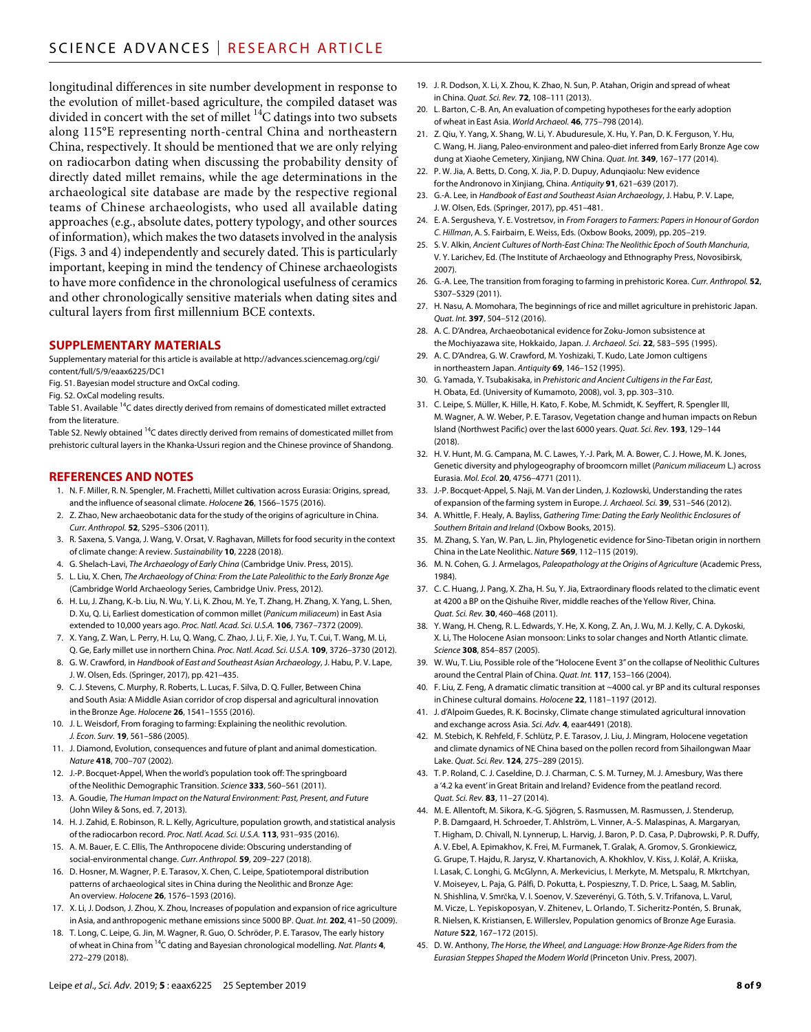longitudinal differences in site number development in response to the evolution of millet-based agriculture, the compiled dataset was divided in concert with the set of millet  $^{14}$ C datings into two subsets along 115°E representing north-central China and northeastern China, respectively. It should be mentioned that we are only relying on radiocarbon dating when discussing the probability density of directly dated millet remains, while the age determinations in the archaeological site database are made by the respective regional teams of Chinese archaeologists, who used all available dating approaches (e.g., absolute dates, pottery typology, and other sources of information), which makes the two datasets involved in the analysis (Figs. 3 and 4) independently and securely dated. This is particularly important, keeping in mind the tendency of Chinese archaeologists to have more confidence in the chronological usefulness of ceramics and other chronologically sensitive materials when dating sites and cultural layers from first millennium BCE contexts.

#### **SUPPLEMENTARY MATERIALS**

Supplementary material for this article is available at [http://advances.sciencemag.org/cgi/](http://advances.sciencemag.org/cgi/content/full/5/9/eaax6225/DC1) [content/full/5/9/eaax6225/DC1](http://advances.sciencemag.org/cgi/content/full/5/9/eaax6225/DC1)

Fig. S1. Bayesian model structure and OxCal coding.

Fig. S2. OxCal modeling results.

Table S1. Available <sup>14</sup>C dates directly derived from remains of domesticated millet extracted from the literature.

Table S2. Newly obtained  $^{14}$ C dates directly derived from remains of domesticated millet from prehistoric cultural layers in the Khanka-Ussuri region and the Chinese province of Shandong.

#### **REFERENCES AND NOTES**

- 1. N. F. Miller, R. N. Spengler, M. Frachetti, Millet cultivation across Eurasia: Origins, spread, and the influence of seasonal climate. *Holocene* 26, 1566-1575 (2016).
- 2. Z. Zhao, New archaeobotanic data for the study of the origins of agriculture in China. *Curr. Anthropol.* **52**, S295–S306 (2011).
- 3. R. Saxena, S. Vanga, J. Wang, V. Orsat, V. Raghavan, Millets for food security in the context of climate change: A review. *Sustainability* **10**, 2228 (2018).
- 4. G. Shelach-Lavi, *The Archaeology of Early China* (Cambridge Univ. Press, 2015).
- 5. L. Liu, X. Chen, *The Archaeology of China: From the Late Paleolithic to the Early Bronze Age* (Cambridge World Archaeology Series, Cambridge Univ. Press, 2012).
- 6. H. Lu, J. Zhang, K.-b. Liu, N. Wu, Y. Li, K. Zhou, M. Ye, T. Zhang, H. Zhang, X. Yang, L. Shen, D. Xu, Q. Li, Earliest domestication of common millet (*Panicum miliaceum*) in East Asia extended to 10,000 years ago. *Proc. Natl. Acad. Sci. U.S.A.* **106**, 7367–7372 (2009).
- 7. X. Yang, Z. Wan, L. Perry, H. Lu, Q. Wang, C. Zhao, J. Li, F. Xie, J. Yu, T. Cui, T. Wang, M. Li, Q. Ge, Early millet use in northern China. *Proc. Natl. Acad. Sci. U.S.A.* **109**, 3726–3730 (2012).
- 8. G. W. Crawford, in *Handbook of East and Southeast Asian Archaeology*, J. Habu, P. V. Lape, J. W. Olsen, Eds. (Springer, 2017), pp. 421–435.
- 9. C. J. Stevens, C. Murphy, R. Roberts, L. Lucas, F. Silva, D. Q. Fuller, Between China and South Asia: A Middle Asian corridor of crop dispersal and agricultural innovation in the Bronze Age. *Holocene* **26**, 1541–1555 (2016).
- 10. J. L. Weisdorf, From foraging to farming: Explaining the neolithic revolution. *J. Econ. Surv.* **19**, 561–586 (2005).
- 11. J. Diamond, Evolution, consequences and future of plant and animal domestication. *Nature* **418**, 700–707 (2002).
- 12. J.-P. Bocquet-Appel, When the world's population took off: The springboard of the Neolithic Demographic Transition. *Science* **333**, 560–561 (2011).
- 13. A. Goudie, *The Human Impact on the Natural Environment: Past, Present, and Future* (John Wiley & Sons, ed. 7, 2013).
- 14. H. J. Zahid, E. Robinson, R. L. Kelly, Agriculture, population growth, and statistical analysis of the radiocarbon record. *Proc. Natl. Acad. Sci. U.S.A.* **113**, 931–935 (2016).
- 15. A. M. Bauer, E. C. Ellis, The Anthropocene divide: Obscuring understanding of social-environmental change. *Curr. Anthropol.* **59**, 209–227 (2018).
- 16. D. Hosner, M. Wagner, P. E. Tarasov, X. Chen, C. Leipe, Spatiotemporal distribution patterns of archaeological sites in China during the Neolithic and Bronze Age: An overview. *Holocene* **26**, 1576–1593 (2016).
- 17. X. Li, J. Dodson, J. Zhou, X. Zhou, Increases of population and expansion ofrice agriculture in Asia, and anthropogenic methane emissions since 5000 BP. *Quat. Int.* **202**, 41–50 (2009).
- 18. T. Long, C. Leipe, G. Jin, M. Wagner, R. Guo, O. Schröder, P. E. Tarasov, The early history of wheat in China from 14C dating and Bayesian chronological modelling. *Nat. Plants* **4**, 272–279 (2018).
- 19. J. R. Dodson, X. Li, X. Zhou, K. Zhao, N. Sun, P. Atahan, Origin and spread of wheat in China. *Quat. Sci. Rev.* **72**, 108–111 (2013).
- 20. L. Barton, C.-B. An, An evaluation of competing hypotheses for the early adoption of wheat in East Asia. *World Archaeol.* **46**, 775–798 (2014).
- 21. Z. Qiu, Y. Yang, X. Shang, W. Li, Y. Abuduresule, X. Hu, Y. Pan, D. K. Ferguson, Y. Hu, C. Wang, H. Jiang, Paleo-environment and paleo-diet inferred from Early Bronze Age cow dung at Xiaohe Cemetery, Xinjiang, NW China. *Quat. Int.* **349**, 167–177 (2014).
- 22. P. W. Jia, A. Betts, D. Cong, X. Jia, P. D. Dupuy, Adunqiaolu: New evidence for the Andronovo in Xinjiang, China. *Antiquity* **91**, 621–639 (2017).
- 23. G.-A. Lee, in *Handbook of East and Southeast Asian Archaeology*, J. Habu, P. V. Lape, J. W. Olsen, Eds. (Springer, 2017), pp. 451–481.
- 24. E. A. Sergusheva, Y. E. Vostretsov, in *From Foragers to Farmers: Papers in Honour of Gordon C*. *Hillman*, A. S. Fairbairn, E. Weiss, Eds. (Oxbow Books, 2009), pp. 205–219.
- 25. S. V. Alkin, *Ancient Cultures of North-East China: The Neolithic Epoch of South Manchuria*, V. Y. Larichev, Ed. (The Institute of Archaeology and Ethnography Press, Novosibirsk, 2007).
- 26. G.-A. Lee, The transition from foraging to farming in prehistoric Korea. *Curr. Anthropol.* **52**, S307–S329 (2011).
- 27. H. Nasu, A. Momohara, The beginnings of rice and millet agriculture in prehistoric Japan. *Quat. Int.* **397**, 504–512 (2016).
- 28. A. C. D'Andrea, Archaeobotanical evidence for Zoku-Jomon subsistence at the Mochiyazawa site, Hokkaido, Japan. *J. Archaeol. Sci.* **22**, 583–595 (1995).
- 29. A. C. D'Andrea, G. W. Crawford, M. Yoshizaki, T. Kudo, Late Jomon cultigens in northeastern Japan. *Antiquity* **69**, 146–152 (1995).
- 30. G. Yamada, Y. Tsubakisaka, in *Prehistoric and Ancient Cultigens in the Far East*, H. Obata, Ed. (University of Kumamoto, 2008), vol. 3, pp. 303–310.
- 31. C. Leipe, S. Müller, K. Hille, H. Kato, F. Kobe, M. Schmidt, K. Seyffert, R. Spengler III, M. Wagner, A. W. Weber, P. E. Tarasov, Vegetation change and human impacts on Rebun Island (Northwest Pacific) over the last 6000 years. *Quat. Sci. Rev.* **193**, 129–144 (2018).
- 32. H. V. Hunt, M. G. Campana, M. C. Lawes, Y.-J. Park, M. A. Bower, C. J. Howe, M. K. Jones, Genetic diversity and phylogeography of broomcorn millet (*Panicum miliaceum* L.) across Eurasia. *Mol. Ecol.* **20**, 4756–4771 (2011).
- 33. J.-P. Bocquet-Appel, S. Naji, M. Van der Linden, J. Kozlowski, Understanding the rates of expansion of the farming system in Europe. *J. Archaeol. Sci.* **39**, 531–546 (2012).
- 34. A. Whittle, F. Healy, A. Bayliss, *Gathering Time: Dating the Early Neolithic Enclosures of Southern Britain and Ireland* (Oxbow Books, 2015).
- 35. M. Zhang, S. Yan, W. Pan, L. Jin, Phylogenetic evidence for Sino-Tibetan origin in northern China in the Late Neolithic. *Nature* **569**, 112–115 (2019).
- 36. M. N. Cohen, G. J. Armelagos, *Paleopathology at the Origins of Agriculture* (Academic Press, 1984).
- 37. C. C. Huang, J. Pang, X. Zha, H. Su, Y. Jia, Extraordinary floods related to the climatic event at 4200 a BP on the Qishuihe River, middle reaches of the Yellow River, China. *Quat. Sci. Rev.* **30**, 460–468 (2011).
- 38. Y. Wang, H. Cheng, R. L. Edwards, Y. He, X. Kong, Z. An, J. Wu, M. J. Kelly, C. A. Dykoski, X. Li, The Holocene Asian monsoon: Links to solar changes and North Atlantic climate. *Science* **308**, 854–857 (2005).
- 39. W. Wu, T. Liu, Possible role of the "Holocene Event 3" on the collapse of Neolithic Cultures around the Central Plain of China. *Quat. Int.* **117**, 153–166 (2004).
- 40. F. Liu, Z. Feng, A dramatic climatic transition at ~4000 cal. yr BP and its cultural responses in Chinese cultural domains. *Holocene* **22**, 1181–1197 (2012).
- 41. J. d'Alpoim Guedes, R. K. Bocinsky, Climate change stimulated agricultural innovation and exchange across Asia. *Sci. Adv.* **4**, eaar4491 (2018).
- 42. M. Stebich, K. Rehfeld, F. Schlütz, P. E. Tarasov, J. Liu, J. Mingram, Holocene vegetation and climate dynamics of NE China based on the pollen record from Sihailongwan Maar Lake. *Quat. Sci. Rev.* **124**, 275–289 (2015).
- 43. T. P. Roland, C. J. Caseldine, D. J. Charman, C. S. M. Turney, M. J. Amesbury, Was there a '4.2 ka event' in Great Britain and Ireland? Evidence from the peatland record. *Quat. Sci. Rev.* **83**, 11–27 (2014).
- 44. M. E. Allentoft, M. Sikora, K.-G. Sjögren, S. Rasmussen, M. Rasmussen, J. Stenderup, P. B. Damgaard, H. Schroeder, T. Ahlström, L. Vinner, A.-S. Malaspinas, A. Margaryan, T. Higham, D. Chivall, N. Lynnerup, L. Harvig, J. Baron, P. D. Casa, P. Dąbrowski, P. R. Duffy, A. V. Ebel, A. Epimakhov, K. Frei, M. Furmanek, T. Gralak, A. Gromov, S. Gronkiewicz, G. Grupe, T. Hajdu, R. Jarysz, V. Khartanovich, A. Khokhlov, V. Kiss, J. Kolář, A. Kriiska, I. Lasak, C. Longhi, G. McGlynn, A. Merkevicius, I. Merkyte, M. Metspalu, R. Mkrtchyan, V. Moiseyev, L. Paja, G. Pálfi, D. Pokutta, Ł. Pospieszny, T. D. Price, L. Saag, M. Sablin, N. Shishlina, V. Smrčka, V. I. Soenov, V. Szeverényi, G. Tóth, S. V. Trifanova, L. Varul, M. Vicze, L. Yepiskoposyan, V. Zhitenev, L. Orlando, T. Sicheritz-Pontén, S. Brunak, R. Nielsen, K. Kristiansen, E. Willerslev, Population genomics of Bronze Age Eurasia. *Nature* **522**, 167–172 (2015).
- 45. D. W. Anthony, *The Horse, the Wheel, and Language: How Bronze-Age Riders from the Eurasian Steppes Shaped the Modern World* (Princeton Univ. Press, 2007).